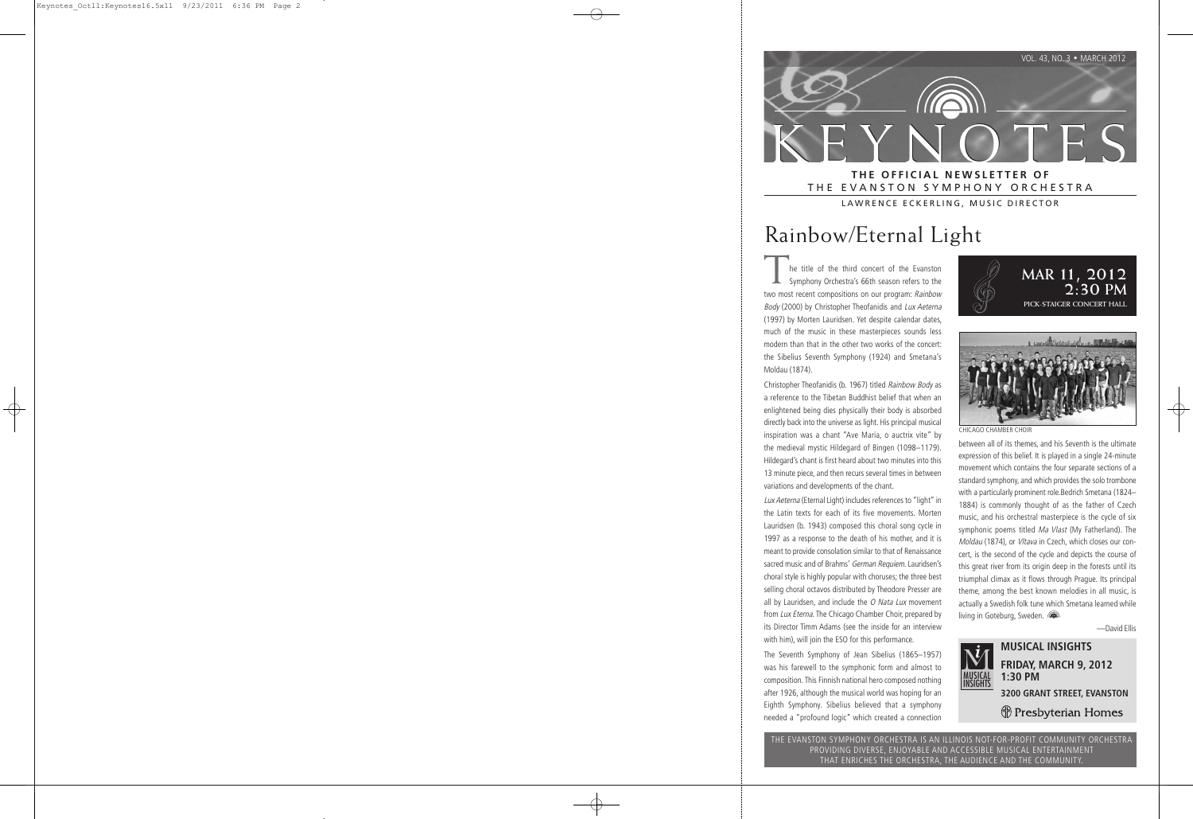

## THE EVANSTON SYMPHONY ORCHESTRA LAWRENCE ECKERLING, MUSIC DIRECTOR

# Rainbow/Eternal Light

he title of the third concert of the Evanston Symphony Orchestra's 66th season refers to the two most recent compositions on our program: Rainbow Body (2000) by Christopher Theofanidis and Lux Aeterna (1997) by Morten Lauridsen. Yet despite calendar dates, much of the music in these masterpieces sounds less modern than that in the other two works of the concert: the Sibelius Seventh Symphony (1924) and Smetana's Moldau (1874).

Christopher Theofanidis (b. 1967) titled Rainbow Body as a reference to the Tibetan Buddhist belief that when an enlightened being dies physically their body is absorbed directly back into the universe as light. His principal musical inspiration was a chant "Ave Maria, o auctrix vite" by the medieval mystic Hildegard of Bingen (1098–1179). Hildegard's chant is first heard about two minutes into this 13 minute piece, and then recurs several times in between variations and developments of the chant.

Lux Aeterna (Eternal Light) includes references to "light" in the Latin texts for each of its five movements. Morten Lauridsen (b. 1943) composed this choral song cycle in 1997 as a response to the death of his mother, and it is meant to provide consolation similar to that of Renaissance sacred music and of Brahms' German Requiem. Lauridsen's choral style is highly popular with choruses; the three best selling choral octavos distributed by Theodore Presser are all by Lauridsen, and include the  $O$  Nata Lux movement from Lux Eterna. The Chicago Chamber Choir, prepared by its Director Timm Adams (see the inside for an interview with him), will join the ESO for this performance.

The Seventh Symphony of Jean Sibelius (1865–1957) was his farewell to the symphonic form and almost to composition. This Finnish national hero composed nothing after 1926, although the musical world was hoping for an Eighth Symphony. Sibelius believed that a symphony needed a "profound logic" which created a connection



CHICAGO CHAMBER CHOIR

 between all of its themes, and his Seventh is the ultimate expression of this belief. It is played in a single 24-minute movement which contains the four separate sections of a standard symphony, and which provides the solo trombone with a particularly prominent role.Bedrich Smetana (1824– 1884) is commonly thought of as the father of Czech music, and his orchestral masterpiece is the cycle of six symphonic poems titled Ma Vlast (My Fatherland). The Moldau (1874), or Vltava in Czech, which closes our concert, is the second of the cycle and depicts the course of this great river from its origin deep in the forests until its triumphal climax as it flows through Prague. Its principal theme, among the best known melodies in all music, is actually a Swedish folk tune which Smetana learned while living in Goteburg, Sweden.

—David Ellis



**MUSICAL INSIGHTS FRIDAY, MARCH 9, 2012 1:30 PM 3200 GRANT STREET, EVANSTON** (†) Presbyterian Homes

THE EVANSTON SYMPHONY ORCHESTRA IS AN ILLINOIS NOT-FOR-PROFIT COMMUNITY ORCHESTRA PROVIDING DIVERSE, ENJOYABLE AND ACCESSIBLE MUSICAL ENTERTAINMENT THAT ENRICHES THE ORCHESTRA, THE AUDIENCE AND THE COMMUNITY.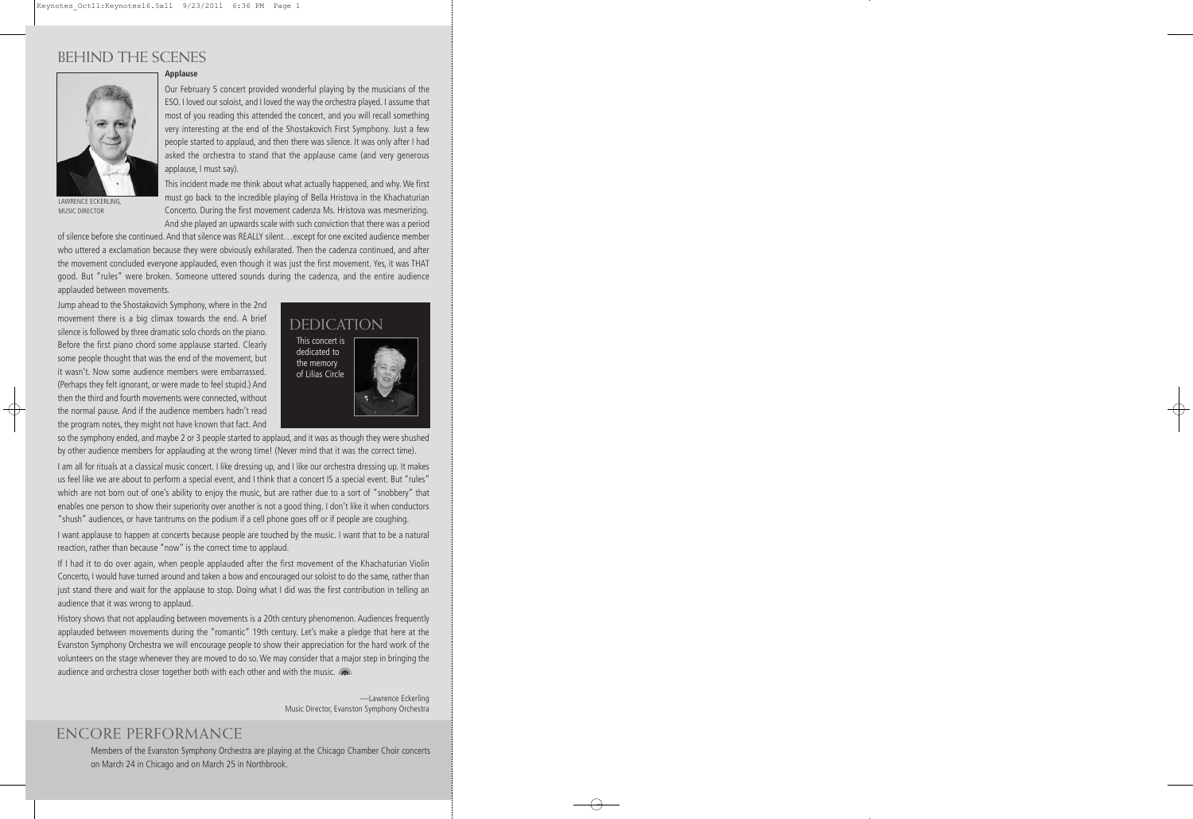# BEHIND THE SCENES



LAWRENCE ECKERLING, MUSIC DIRECTOR

### **Applause**

Our February 5 concert provided wonderful playing by the musicians of the ESO. I loved our soloist, and I loved the way the orchestra played. I assume that most of you reading this attended the concert, and you will recall something very interesting at the end of the Shostakovich First Symphony. Just a few people started to applaud, and then there was silence. It was only after I had asked the orchestra to stand that the applause came (and very generous applause, I must say).

This incident made me think about what actually happened, and why. We first must go back to the incredible playing of Bella Hristova in the Khachaturian Concerto. During the first movement cadenza Ms. Hristova was mesmerizing. And she played an upwards scale with such conviction that there was a period

of silence before she continued. And that silence was REALLY silent…except for one excited audience member who uttered a exclamation because they were obviously exhilarated. Then the cadenza continued, and after the movement concluded everyone applauded, even though it was just the first movement. Yes, it was THAT good. But "rules" were broken. Someone uttered sounds during the cadenza, and the entire audience applauded between movements.

Jump ahead to the Shostakovich Symphony, where in the 2nd movement there is a big climax towards the end. A brief silence is followed by three dramatic solo chords on the piano. Before the first piano chord some applause started. Clearly some people thought that was the end of the movement, but it wasn't. Now some audience members were embarrassed. (Perhaps they felt ignorant, or were made to feel stupid.) And then the third and fourth movements were connected, without the normal pause. And if the audience members hadn't read the program notes, they might not have known that fact. And



so the symphony ended, and maybe 2 or 3 people started to applaud, and it was as though they were shushed by other audience members for applauding at the wrong time! (Never mind that it was the correct time).

I am all for rituals at a classical music concert. I like dressing up, and I like our orchestra dressing up. It makes us feel like we are about to perform a special event, and I think that a concert IS a special event. But "rules" which are not born out of one's ability to enjoy the music, but are rather due to a sort of "snobbery" that enables one person to show their superiority over another is not a good thing. I don't like it when conductors "shush" audiences, or have tantrums on the podium if a cell phone goes off or if people are coughing.

I want applause to happen at concerts because people are touched by the music. I want that to be a natural reaction, rather than because "now" is the correct time to applaud.

If I had it to do over again, when people applauded after the first movement of the Khachaturian Violin Concerto, I would have turned around and taken a bow and encouraged our soloist to do the same, rather than just stand there and wait for the applause to stop. Doing what I did was the first contribution in telling an audience that it was wrong to applaud.

History shows that not applauding between movements is a 20th century phenomenon. Audiences frequently applauded between movements during the "romantic" 19th century. Let's make a pledge that here at the Evanston Symphony Orchestra we will encourage people to show their appreciation for the hard work of the volunteers on the stage whenever they are moved to do so. We may consider that a major step in bringing the audience and orchestra closer together both with each other and with the music.

> —Lawrence Eckerling Music Director, Evanston Symphony Orchestra

## ENCORE PERFORMANCE

Members of the Evanston Symphony Orchestra are playing at the Chicago Chamber Choir concerts on March 24 in Chicago and on March 25 in Northbrook.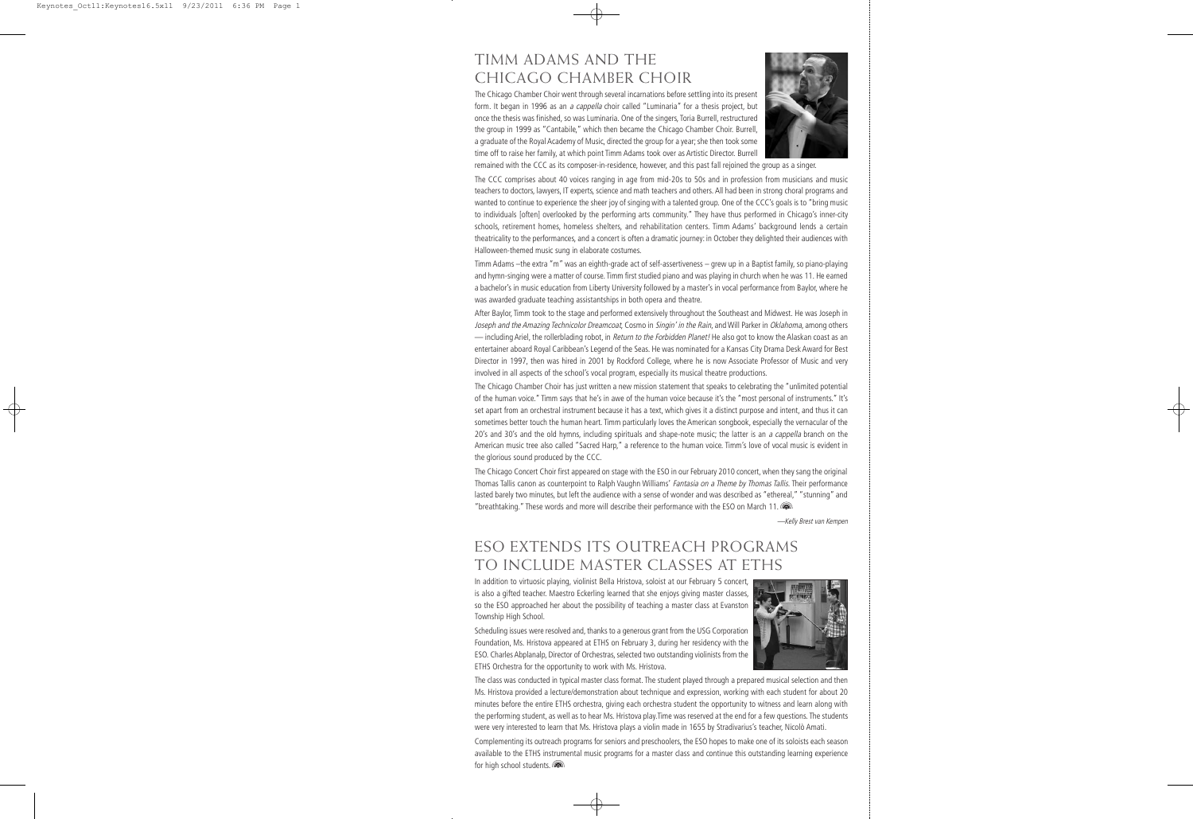# TIMM ADAMS AND THE CHICAGO CHAMBER CHOIR

The Chicago Chamber Choir went through several incarnations before settling into its present form. It began in 1996 as an a cappella choir called "Luminaria" for a thesis project, but once the thesis was finished, so was Luminaria. One of the singers, Toria Burrell, restructured the group in 1999 as "Cantabile," which then became the Chicago Chamber Choir. Burrell, a graduate of the Royal Academy of Music, directed the group for a year; she then took some time off to raise her family, at which point Timm Adams took over as Artistic Director. Burrell



remained with the CCC as its composer-in-residence, however, and this past fall rejoined the group as a singer.

The CCC comprises about 40 voices ranging in age from mid-20s to 50s and in profession from musicians and music teachers to doctors, lawyers, IT experts, science and math teachers and others. All had been in strong choral programs and wanted to continue to experience the sheer joy of singing with a talented group. One of the CCC's goals is to "bring music to individuals [often] overlooked by the performing arts community." They have thus performed in Chicago's inner-city schools, retirement homes, homeless shelters, and rehabilitation centers. Timm Adams' background lends a certain theatricality to the performances, and a concert is often a dramatic journey: in October they delighted their audiences with Halloween-themed music sung in elaborate costumes.

Timm Adams –the extra "m" was an eighth-grade act of self-assertiveness – grew up in a Baptist family, so piano-playing and hymn-singing were a matter of course. Timm first studied piano and was playing in church when he was 11. He earned a bachelor's in music education from Liberty University followed by a master's in vocal performance from Baylor, where he was awarded graduate teaching assistantships in both opera and theatre.

After Baylor, Timm took to the stage and performed extensively throughout the Southeast and Midwest. He was Joseph in Joseph and the Amazing Technicolor Dreamcoat, Cosmo in Singin' in the Rain, and Will Parker in Oklahoma, among others — including Ariel, the rollerblading robot, in Return to the Forbidden Planet! He also got to know the Alaskan coast as an entertainer aboard Royal Caribbean's Legend of the Seas. He was nominated for a Kansas City Drama Desk Award for Best Director in 1997, then was hired in 2001 by Rockford College, where he is now Associate Professor of Music and very involved in all aspects of the school's vocal program, especially its musical theatre productions.

The Chicago Chamber Choir has just written a new mission statement that speaks to celebrating the "unlimited potential of the human voice." Timm says that he's in awe of the human voice because it's the "most personal of instruments." It's set apart from an orchestral instrument because it has a text, which gives it a distinct purpose and intent, and thus it can sometimes better touch the human heart. Timm particularly loves the American songbook, especially the vernacular of the 20's and 30's and the old hymns, including spirituals and shape-note music; the latter is an a cappella branch on the American music tree also called "Sacred Harp," a reference to the human voice. Timm's love of vocal music is evident in the glorious sound produced by the CCC.

The Chicago Concert Choir first appeared on stage with the ESO in our February 2010 concert, when they sang the original Thomas Tallis canon as counterpoint to Ralph Vaughn Williams' Fantasia on a Theme by Thomas Tallis. Their performance lasted barely two minutes, but left the audience with a sense of wonder and was described as "ethereal," "stunning" and "breathtaking." These words and more will describe their performance with the ESO on March 11.

—Kelly Brest van Kempen

# ESO EXTENDS ITS OUTREACH PROGRAMS TO INCLUDE MASTER CLASSES AT ETHS

In addition to virtuosic playing, violinist Bella Hristova, soloist at our February 5 concert, is also a gifted teacher. Maestro Eckerling learned that she enjoys giving master classes, so the ESO approached her about the possibility of teaching a master class at Evanston Township High School.

Scheduling issues were resolved and, thanks to a generous grant from the USG Corporation Foundation, Ms. Hristova appeared at ETHS on February 3, during her residency with the ESO. Charles Abplanalp, Director of Orchestras, selected two outstanding violinists from the ETHS Orchestra for the opportunity to work with Ms. Hristova.



The class was conducted in typical master class format. The student played through a prepared musical selection and then Ms. Hristova provided a lecture/demonstration about technique and expression, working with each student for about 20 minutes before the entire ETHS orchestra, giving each orchestra student the opportunity to witness and learn along with the performing student, as well as to hear Ms. Hristova play.Time was reserved at the end for a few questions. The students were very interested to learn that Ms. Hristova plays a violin made in 1655 by Stradivarius's teacher, Nicolò Amati.

Complementing its outreach programs for seniors and preschoolers, the ESO hopes to make one of its soloists each season available to the ETHS instrumental music programs for a master class and continue this outstanding learning experience for high school students.